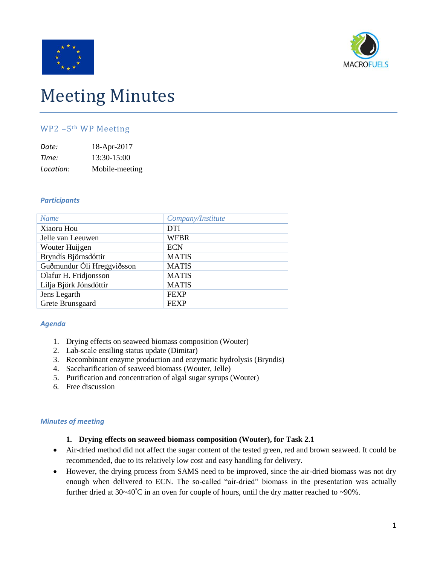



# Meeting Minutes

## WP2 –5th WP Meeting

| Date:     | 18-Apr-2017    |
|-----------|----------------|
| Time:     | $13:30-15:00$  |
| Location: | Mobile-meeting |

## *Participants*

| <b>Name</b>                | Company/Institute |
|----------------------------|-------------------|
| Xiaoru Hou                 | <b>DTI</b>        |
| Jelle van Leeuwen          | <b>WFBR</b>       |
| Wouter Huijgen             | <b>ECN</b>        |
| Bryndís Björnsdóttir       | <b>MATIS</b>      |
| Guðmundur Óli Hreggviðsson | <b>MATIS</b>      |
| Olafur H. Fridjonsson      | <b>MATIS</b>      |
| Lilja Björk Jónsdóttir     | <b>MATIS</b>      |
| Jens Legarth               | <b>FEXP</b>       |
| Grete Brunsgaard           | <b>FEXP</b>       |
|                            |                   |

## *Agenda*

- 1. Drying effects on seaweed biomass composition (Wouter)
- 2. Lab-scale ensiling status update (Dimitar)
- 3. Recombinant enzyme production and enzymatic hydrolysis (Bryndis)
- 4. Saccharification of seaweed biomass (Wouter, Jelle)
- 5. Purification and concentration of algal sugar syrups (Wouter)
- *6.* Free discussion

## *Minutes of meeting*

## **1. Drying effects on seaweed biomass composition (Wouter), for Task 2.1**

- Air-dried method did not affect the sugar content of the tested green, red and brown seaweed. It could be recommended, due to its relatively low cost and easy handling for delivery.
- However, the drying process from SAMS need to be improved, since the air-dried biomass was not dry enough when delivered to ECN. The so-called "air-dried" biomass in the presentation was actually further dried at 30~40°C in an oven for couple of hours, until the dry matter reached to ~90%.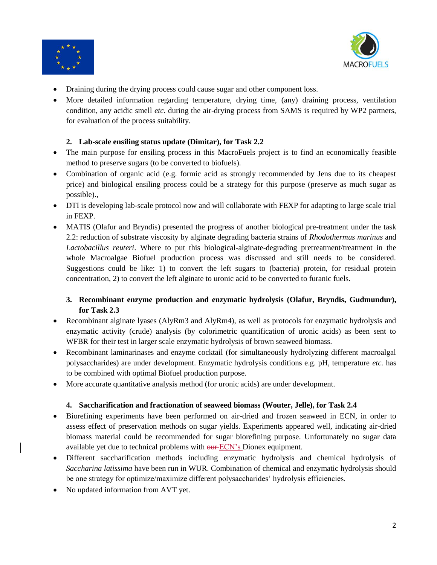



- Draining during the drying process could cause sugar and other component loss.
- More detailed information regarding temperature, drying time, (any) draining process, ventilation condition, any acidic smell *etc*. during the air-drying process from SAMS is required by WP2 partners, for evaluation of the process suitability.

## **2. Lab-scale ensiling status update (Dimitar), for Task 2.2**

- The main purpose for ensiling process in this MacroFuels project is to find an economically feasible method to preserve sugars (to be converted to biofuels).
- Combination of organic acid (e.g. formic acid as strongly recommended by Jens due to its cheapest price) and biological ensiling process could be a strategy for this purpose (preserve as much sugar as possible).,
- DTI is developing lab-scale protocol now and will collaborate with FEXP for adapting to large scale trial in FEXP.
- MATIS (Olafur and Bryndis) presented the progress of another biological pre-treatment under the task 2.2: reduction of substrate viscosity by alginate degrading bacteria strains of *Rhodothermus marinus* and *Lactobacillus reuteri*. Where to put this biological-alginate-degrading pretreatment/treatment in the whole Macroalgae Biofuel production process was discussed and still needs to be considered. Suggestions could be like: 1) to convert the left sugars to (bacteria) protein, for residual protein concentration, 2) to convert the left alginate to uronic acid to be converted to furanic fuels.

# **3. Recombinant enzyme production and enzymatic hydrolysis (Olafur, Bryndis, Gudmundur), for Task 2.3**

- Recombinant alginate lyases (AlyRm3 and AlyRm4), as well as protocols for enzymatic hydrolysis and enzymatic activity (crude) analysis (by colorimetric quantification of uronic acids) as been sent to WFBR for their test in larger scale enzymatic hydrolysis of brown seaweed biomass.
- Recombinant laminarinases and enzyme cocktail (for simultaneously hydrolyzing different macroalgal polysaccharides) are under development. Enzymatic hydrolysis conditions e.g. pH, temperature *etc.* has to be combined with optimal Biofuel production purpose.
- More accurate quantitative analysis method (for uronic acids) are under development.

# **4. Saccharification and fractionation of seaweed biomass (Wouter, Jelle), for Task 2.4**

- Biorefining experiments have been performed on air-dried and frozen seaweed in ECN, in order to assess effect of preservation methods on sugar yields. Experiments appeared well, indicating air-dried biomass material could be recommended for sugar biorefining purpose. Unfortunately no sugar data available yet due to technical problems with our ECN's Dionex equipment.
- Different saccharification methods including enzymatic hydrolysis and chemical hydrolysis of *Saccharina latissima* have been run in WUR. Combination of chemical and enzymatic hydrolysis should be one strategy for optimize/maximize different polysaccharides' hydrolysis efficiencies.
- No updated information from AVT yet.